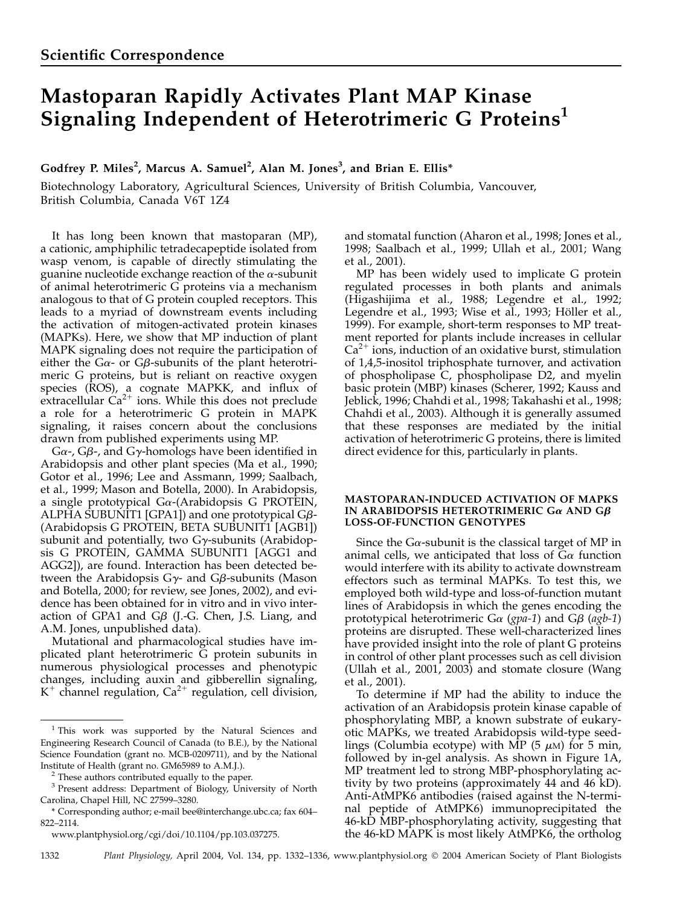# Mastoparan Rapidly Activates Plant MAP Kinase Signaling Independent of Heterotrimeric G Proteins<sup>1</sup>

Godfrey P. Miles<sup>2</sup>, Marcus A. Samuel<sup>2</sup>, Alan M. Jones<sup>3</sup>, and Brian E. Ellis\*

Biotechnology Laboratory, Agricultural Sciences, University of British Columbia, Vancouver, British Columbia, Canada V6T 1Z4

It has long been known that mastoparan (MP), a cationic, amphiphilic tetradecapeptide isolated from wasp venom, is capable of directly stimulating the guanine nucleotide exchange reaction of the  $\alpha$ -subunit of animal heterotrimeric G proteins via a mechanism analogous to that of G protein coupled receptors. This leads to a myriad of downstream events including the activation of mitogen-activated protein kinases (MAPKs). Here, we show that MP induction of plant MAPK signaling does not require the participation of either the  $G\alpha$ - or  $G\beta$ -subunits of the plant heterotrimeric G proteins, but is reliant on reactive oxygen species (ROS), a cognate MAPKK, and influx of extracellular  $Ca^{2+}$  ions. While this does not preclude a role for a heterotrimeric G protein in MAPK signaling, it raises concern about the conclusions drawn from published experiments using MP.

 $G\alpha$ -,  $G\beta$ -, and  $G\gamma$ -homologs have been identified in Arabidopsis and other plant species (Ma et al., 1990; Gotor et al., 1996; Lee and Assmann, 1999; Saalbach, et al., 1999; Mason and Botella, 2000). In Arabidopsis, a single prototypical  $Ga$ -(Arabidopsis G PROTEIN, ALPHA SUBUNIT1 [GPA1]) and one prototypical  $G\beta$ -(Arabidopsis G PROTEIN, BETA SUBUNIT1 [AGB1]) subunit and potentially, two  $G\gamma$ -subunits (Arabidopsis G PROTEIN, GAMMA SUBUNIT1 [AGG1 and AGG2]), are found. Interaction has been detected between the Arabidopsis  $G_{\gamma}$ - and  $G_{\beta}$ -subunits (Mason and Botella, 2000; for review, see Jones, 2002), and evidence has been obtained for in vitro and in vivo interaction of GPA1 and G $\beta$  (J.-G. Chen, J.S. Liang, and A.M. Jones, unpublished data).

Mutational and pharmacological studies have implicated plant heterotrimeric G protein subunits in numerous physiological processes and phenotypic changes, including auxin and gibberellin signaling,  $K^+$  channel regulation, Ca<sup>2+</sup> regulation, cell division,

and stomatal function (Aharon et al., 1998; Jones et al., 1998; Saalbach et al., 1999; Ullah et al., 2001; Wang et al., 2001).

MP has been widely used to implicate G protein regulated processes in both plants and animals (Higashijima et al., 1988; Legendre et al., 1992; Legendre et al., 1993; Wise et al., 1993; Höller et al., 1999). For example, short-term responses to MP treatment reported for plants include increases in cellular  $Ca<sup>2+</sup>$  ions, induction of an oxidative burst, stimulation of 1,4,5-inositol triphosphate turnover, and activation of phospholipase C, phospholipase D2, and myelin basic protein (MBP) kinases (Scherer, 1992; Kauss and Jeblick, 1996; Chahdi et al., 1998; Takahashi et al., 1998; Chahdi et al., 2003). Although it is generally assumed that these responses are mediated by the initial activation of heterotrimeric G proteins, there is limited direct evidence for this, particularly in plants.

## MASTOPARAN-INDUCED ACTIVATION OF MAPKS IN ARABIDOPSIS HETEROTRIMERIC G $\alpha$  AND G $\beta$ LOSS-OF-FUNCTION GENOTYPES

Since the G $\alpha$ -subunit is the classical target of MP in animal cells, we anticipated that loss of  $G_{\alpha}$  function would interfere with its ability to activate downstream effectors such as terminal MAPKs. To test this, we employed both wild-type and loss-of-function mutant lines of Arabidopsis in which the genes encoding the prototypical heterotrimeric  $G\alpha$  (gpa-1) and  $G\beta$  (agb-1) proteins are disrupted. These well-characterized lines have provided insight into the role of plant G proteins in control of other plant processes such as cell division (Ullah et al., 2001, 2003) and stomate closure (Wang et al., 2001).

To determine if MP had the ability to induce the activation of an Arabidopsis protein kinase capable of phosphorylating MBP, a known substrate of eukaryotic MAPKs, we treated Arabidopsis wild-type seedlings (Columbia ecotype) with MP (5  $\mu$ M) for 5 min, followed by in-gel analysis. As shown in Figure 1A, MP treatment led to strong MBP-phosphorylating activity by two proteins (approximately 44 and 46 kD). Anti-AtMPK6 antibodies (raised against the N-terminal peptide of AtMPK6) immunoprecipitated the 46-kD MBP-phosphorylating activity, suggesting that the 46-kD MAPK is most likely AtMPK6, the ortholog

1332 Plant Physiology, April 2004, Vol. 134, pp. 1332–1336, www.plantphysiol.org © 2004 American Society of Plant Biologists

 $1$  This work was supported by the Natural Sciences and Engineering Research Council of Canada (to B.E.), by the National Science Foundation (grant no. MCB-0209711), and by the National Institute of Health (grant no. GM65989 to A.M.J.).<br> $2$  These authors contributed equally to the paper.

<sup>3</sup> Present address: Department of Biology, University of North Carolina, Chapel Hill, NC 27599–3280.

<sup>\*</sup> Corresponding author; e-mail bee@interchange.ubc.ca; fax 604– 822–2114.

www.plantphysiol.org/cgi/doi/10.1104/pp.103.037275.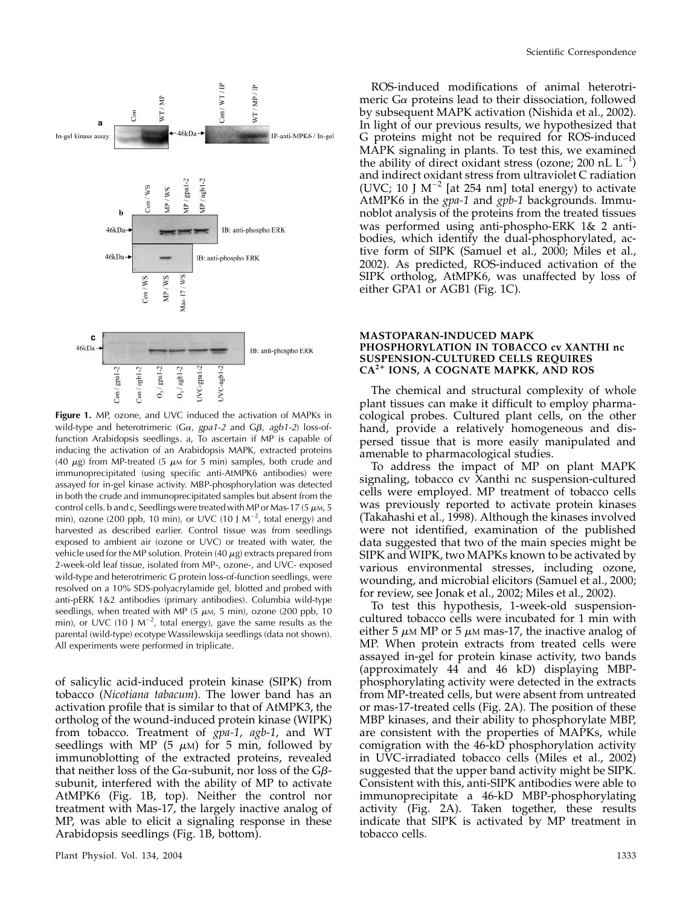

Figure 1. MP, ozone, and UVC induced the activation of MAPKs in wild-type and heterotrimeric ( $Ga$ , gpa1-2 and  $G\beta$ , agb1-2) loss-offunction Arabidopsis seedlings. a, To ascertain if MP is capable of inducing the activation of an Arabidopsis MAPK, extracted proteins (40  $\mu$ g) from MP-treated (5  $\mu$ M for 5 min) samples, both crude and immunoprecipitated (using specific anti-AtMPK6 antibodies) were assayed for in-gel kinase activity. MBP-phosphorylation was detected in both the crude and immunoprecipitated samples but absent from the control cells. b and c, Seedlings were treated with MP or Mas-17 (5  $\mu$ M, 5 min), ozone (200 ppb, 10 min), or UVC (10 J  $M^{-2}$ , total energy) and harvested as described earlier. Control tissue was from seedlings exposed to ambient air (ozone or UVC) or treated with water, the vehicle used for the MP solution. Protein (40  $\mu$ g) extracts prepared from 2-week-old leaf tissue, isolated from MP-, ozone-, and UVC- exposed wild-type and heterotrimeric G protein loss-of-function seedlings, were resolved on a 10% SDS-polyacrylamide gel, blotted and probed with anti-pERK 1&2 antibodies (primary antibodies). Columbia wild-type seedlings, when treated with MP (5  $\mu$ M, 5 min), ozone (200 ppb, 10 min), or UVC (10 J M<sup>-2</sup>, total energy), gave the same results as the parental (wild-type) ecotype Wassilewskija seedlings (data not shown). All experiments were performed in triplicate.

of salicylic acid-induced protein kinase (SIPK) from tobacco (Nicotiana tabacum). The lower band has an activation profile that is similar to that of AtMPK3, the ortholog of the wound-induced protein kinase (WIPK) from tobacco. Treatment of gpa-1, agb-1, and WT seedlings with MP (5  $\mu$ M) for 5 min, followed by immunoblotting of the extracted proteins, revealed that neither loss of the G $\alpha$ -subunit, nor loss of the G $\beta$ subunit, interfered with the ability of MP to activate AtMPK6 (Fig. 1B, top). Neither the control nor treatment with Mas-17, the largely inactive analog of MP, was able to elicit a signaling response in these Arabidopsis seedlings (Fig. 1B, bottom).

ROS-induced modifications of animal heterotrimeric  $G\alpha$  proteins lead to their dissociation, followed by subsequent MAPK activation (Nishida et al., 2002). In light of our previous results, we hypothesized that G proteins might not be required for ROS-induced MAPK signaling in plants. To test this, we examined the ability of direct oxidant stress (ozone; 200 nL  $L^{-1}$ ) and indirect oxidant stress from ultraviolet C radiation (UVC; 10 J  $M^{-2}$  [at 254 nm] total energy) to activate AtMPK6 in the *gpa-1* and *gpb-1* backgrounds. Immunoblot analysis of the proteins from the treated tissues was performed using anti-phospho-ERK 1& 2 antibodies, which identify the dual-phosphorylated, active form of SIPK (Samuel et al., 2000; Miles et al., 2002). As predicted, ROS-induced activation of the SIPK ortholog, AtMPK6, was unaffected by loss of either GPA1 or AGB1 (Fig. 1C).

## MASTOPARAN-INDUCED MAPK PHOSPHORYLATION IN TOBACCO cv XANTHI nc SUSPENSION-CULTURED CELLS REQUIRES CA<sup>2</sup>*<sup>1</sup>* IONS, A COGNATE MAPKK, AND ROS

The chemical and structural complexity of whole plant tissues can make it difficult to employ pharmacological probes. Cultured plant cells, on the other hand, provide a relatively homogeneous and dispersed tissue that is more easily manipulated and amenable to pharmacological studies.

To address the impact of MP on plant MAPK signaling, tobacco cv Xanthi nc suspension-cultured cells were employed. MP treatment of tobacco cells was previously reported to activate protein kinases (Takahashi et al., 1998). Although the kinases involved were not identified, examination of the published data suggested that two of the main species might be SIPK and WIPK, two MAPKs known to be activated by various environmental stresses, including ozone, wounding, and microbial elicitors (Samuel et al., 2000; for review, see Jonak et al., 2002; Miles et al., 2002).

To test this hypothesis, 1-week-old suspensioncultured tobacco cells were incubated for 1 min with either 5  $\mu{\rm\scriptscriptstyle M}$  MP or 5  $\mu{\rm\scriptscriptstyle M}$  mas-17, the inactive analog of MP. When protein extracts from treated cells were assayed in-gel for protein kinase activity, two bands (approximately 44 and 46 kD) displaying MBPphosphorylating activity were detected in the extracts from MP-treated cells, but were absent from untreated or mas-17-treated cells (Fig. 2A). The position of these MBP kinases, and their ability to phosphorylate MBP, are consistent with the properties of MAPKs, while comigration with the 46-kD phosphorylation activity in UVC-irradiated tobacco cells (Miles et al., 2002) suggested that the upper band activity might be SIPK. Consistent with this, anti-SIPK antibodies were able to immunoprecipitate a 46-kD MBP-phosphorylating activity (Fig. 2A). Taken together, these results indicate that SIPK is activated by MP treatment in tobacco cells.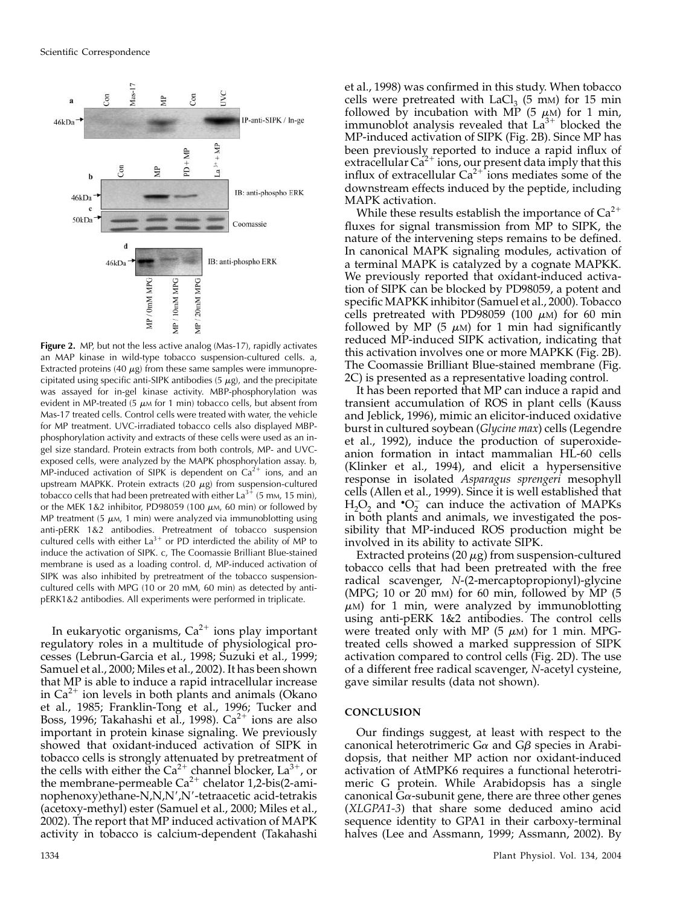

Figure 2. MP, but not the less active analog (Mas-17), rapidly activates an MAP kinase in wild-type tobacco suspension-cultured cells. a, Extracted proteins (40  $\mu$ g) from these same samples were immunoprecipitated using specific anti-SIPK antibodies  $(5 \mu g)$ , and the precipitate was assayed for in-gel kinase activity. MBP-phosphorylation was evident in MP-treated (5  $\mu$ M for 1 min) tobacco cells, but absent from Mas-17 treated cells. Control cells were treated with water, the vehicle for MP treatment. UVC-irradiated tobacco cells also displayed MBPphosphorylation activity and extracts of these cells were used as an ingel size standard. Protein extracts from both controls, MP- and UVCexposed cells, were analyzed by the MAPK phosphorylation assay. b, MP-induced activation of SIPK is dependent on  $Ca^{2+}$  ions, and an upstream MAPKK. Protein extracts (20  $\mu$ g) from suspension-cultured tobacco cells that had been pretreated with either  $La^{3+}$  (5 mm, 15 min), or the MEK 1&2 inhibitor, PD98059 (100  $\mu$ m, 60 min) or followed by MP treatment (5  $\mu$ M, 1 min) were analyzed via immunoblotting using anti-pERK 1&2 antibodies. Pretreatment of tobacco suspension cultured cells with either  $La^{3+}$  or PD interdicted the ability of MP to induce the activation of SIPK. c, The Coomassie Brilliant Blue-stained membrane is used as a loading control. d, MP-induced activation of SIPK was also inhibited by pretreatment of the tobacco suspensioncultured cells with MPG (10 or 20 mM, 60 min) as detected by antipERK1&2 antibodies. All experiments were performed in triplicate.

In eukaryotic organisms,  $Ca^{2+}$  ions play important regulatory roles in a multitude of physiological processes (Lebrun-Garcia et al., 1998; Suzuki et al., 1999; Samuel et al., 2000; Miles et al., 2002). It has been shown that MP is able to induce a rapid intracellular increase in  $Ca^{2+}$  ion levels in both plants and animals (Okano et al., 1985; Franklin-Tong et al., 1996; Tucker and Boss, 1996; Takahashi et al., 1998).  $Ca^{2+}$  ions are also important in protein kinase signaling. We previously showed that oxidant-induced activation of SIPK in tobacco cells is strongly attenuated by pretreatment of the cells with either the  $Ca^{2+}$  channel blocker,  $La^{3+}$ , or the membrane-permeable  $Ca^{2+}$  chelator 1,2-bis(2-aminophenoxy)ethane-N,N,N',N'-tetraacetic acid-tetrakis (acetoxy-methyl) ester (Samuel et al., 2000; Miles et al., 2002). The report that MP induced activation of MAPK activity in tobacco is calcium-dependent (Takahashi

et al., 1998) was confirmed in this study. When tobacco cells were pretreated with  $LaCl<sub>3</sub>$  (5 mM) for 15 min followed by incubation with MP  $(5 \mu M)$  for 1 min, immunoblot analysis revealed that  $La^{3+}$  blocked the MP-induced activation of SIPK (Fig. 2B). Since MP has been previously reported to induce a rapid influx of extracellular  $Ca^{2+}$  ions, our present data imply that this influx of extracellular  $Ca^{2+}$  ions mediates some of the downstream effects induced by the peptide, including MAPK activation.

While these results establish the importance of  $Ca^{2+}$ fluxes for signal transmission from MP to SIPK, the nature of the intervening steps remains to be defined. In canonical MAPK signaling modules, activation of a terminal MAPK is catalyzed by a cognate MAPKK. We previously reported that oxidant-induced activation of SIPK can be blocked by PD98059, a potent and specific MAPKK inhibitor (Samuel et al., 2000). Tobacco cells pretreated with PD98059 (100  $\mu$ M) for 60 min followed by MP  $(5 \mu M)$  for 1 min had significantly reduced MP-induced SIPK activation, indicating that this activation involves one or more MAPKK (Fig. 2B). The Coomassie Brilliant Blue-stained membrane (Fig. 2C) is presented as a representative loading control.

It has been reported that MP can induce a rapid and transient accumulation of ROS in plant cells (Kauss and Jeblick, 1996), mimic an elicitor-induced oxidative burst in cultured soybean (Glycine max) cells (Legendre et al., 1992), induce the production of superoxideanion formation in intact mammalian HL-60 cells (Klinker et al., 1994), and elicit a hypersensitive response in isolated Asparagus sprengeri mesophyll cells (Allen et al., 1999). Since it is well established that  $H_2O_2$  and  $O_2^-$  can induce the activation of MAPKs in both plants and animals, we investigated the possibility that MP-induced ROS production might be involved in its ability to activate SIPK.

Extracted proteins (20  $\mu$ g) from suspension-cultured tobacco cells that had been pretreated with the free radical scavenger, N-(2-mercaptopropionyl)-glycine (MPG; 10 or 20 mm) for 60 min, followed by MP  $(5)$  $\mu$ M) for 1 min, were analyzed by immunoblotting using anti-pERK 1&2 antibodies. The control cells were treated only with MP (5  $\mu$ M) for 1 min. MPGtreated cells showed a marked suppression of SIPK activation compared to control cells (Fig. 2D). The use of a different free radical scavenger, N-acetyl cysteine, gave similar results (data not shown).

## **CONCLUSION**

Our findings suggest, at least with respect to the canonical heterotrimeric  $G\alpha$  and  $G\beta$  species in Arabidopsis, that neither MP action nor oxidant-induced activation of AtMPK6 requires a functional heterotrimeric G protein. While Arabidopsis has a single canonical  $Ga$ -subunit gene, there are three other genes (XLGPA1-3) that share some deduced amino acid sequence identity to GPA1 in their carboxy-terminal halves (Lee and Assmann, 1999; Assmann, 2002). By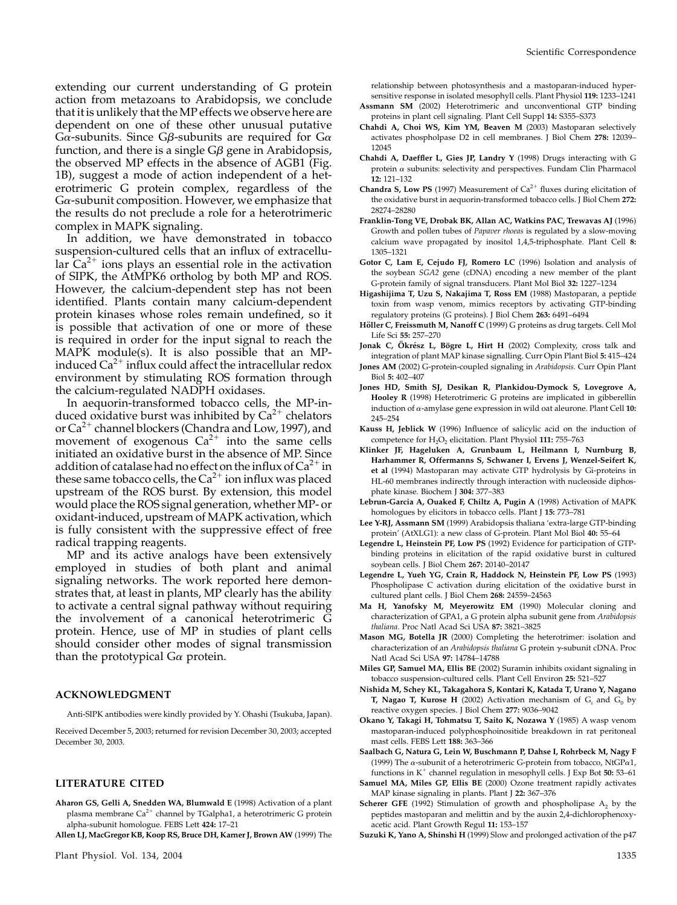extending our current understanding of G protein action from metazoans to Arabidopsis, we conclude that it is unlikely that the MP effects we observe here are dependent on one of these other unusual putative  $G\alpha$ -subunits. Since  $G\beta$ -subunits are required for  $G\alpha$ function, and there is a single  $G\beta$  gene in Arabidopsis, the observed MP effects in the absence of AGB1 (Fig. 1B), suggest a mode of action independent of a heterotrimeric G protein complex, regardless of the  $G\alpha$ -subunit composition. However, we emphasize that the results do not preclude a role for a heterotrimeric complex in MAPK signaling.

In addition, we have demonstrated in tobacco suspension-cultured cells that an influx of extracellular  $Ca^{2+}$  ions plays an essential role in the activation of SIPK, the AtMPK6 ortholog by both MP and ROS. However, the calcium-dependent step has not been identified. Plants contain many calcium-dependent protein kinases whose roles remain undefined, so it is possible that activation of one or more of these is required in order for the input signal to reach the MAPK module(s). It is also possible that an MPinduced  $Ca^{2+}$  influx could affect the intracellular redox environment by stimulating ROS formation through the calcium-regulated NADPH oxidases.

In aequorin-transformed tobacco cells, the MP-induced oxidative burst was inhibited by  $Ca^{2+}$  chelators or  $Ca^{2+}$  channel blockers (Chandra and Low, 1997), and movement of exogenous  $Ca^{2+}$  into the same cells initiated an oxidative burst in the absence of MP. Since addition of catalase had no effect on the influx of  $Ca^{2+}$  in these same tobacco cells, the  $Ca^{2+}$  ion influx was placed upstream of the ROS burst. By extension, this model would place the ROS signal generation, whether MP- or oxidant-induced, upstream of MAPK activation, which is fully consistent with the suppressive effect of free radical trapping reagents.

MP and its active analogs have been extensively employed in studies of both plant and animal signaling networks. The work reported here demonstrates that, at least in plants, MP clearly has the ability to activate a central signal pathway without requiring the involvement of a canonical heterotrimeric G protein. Hence, use of MP in studies of plant cells should consider other modes of signal transmission than the prototypical  $G_{\alpha}$  protein.

#### ACKNOWLEDGMENT

Anti-SIPK antibodies were kindly provided by Y. Ohashi (Tsukuba, Japan).

Received December 5, 2003; returned for revision December 30, 2003; accepted December 30, 2003.

#### LITERATURE CITED

- Aharon GS, Gelli A, Snedden WA, Blumwald E (1998) Activation of a plant plasma membrane  $Ca^{2+}$  channel by TGalpha1, a heterotrimeric G protein alpha-subunit homologue. FEBS Lett 424: 17–21
- Allen LJ, MacGregor KB, Koop RS, Bruce DH, Karner J, Brown AW (1999) The

relationship between photosynthesis and a mastoparan-induced hypersensitive response in isolated mesophyll cells. Plant Physiol 119: 1233–1241

- Assmann SM (2002) Heterotrimeric and unconventional GTP binding proteins in plant cell signaling. Plant Cell Suppl 14: S355–S373
- Chahdi A, Choi WS, Kim YM, Beaven M (2003) Mastoparan selectively activates phospholpase D2 in cell membranes. J Biol Chem 278: 12039– 12045
- Chahdi A, Daeffler L, Gies JP, Landry Y (1998) Drugs interacting with G protein  $\alpha$  subunits: selectivity and perspectives. Fundam Clin Pharmacol 12: 121–132
- **Chandra S, Low PS** (1997) Measurement of  $Ca^{2+}$  fluxes during elicitation of the oxidative burst in aequorin-transformed tobacco cells. J Biol Chem 272: 28274–28280
- Franklin-Tong VE, Drobak BK, Allan AC, Watkins PAC, Trewavas AJ (1996) Growth and pollen tubes of Papaver rhoeas is regulated by a slow-moving calcium wave propagated by inositol 1,4,5-triphosphate. Plant Cell 8: 1305–1321
- Gotor C, Lam E, Cejudo FJ, Romero LC (1996) Isolation and analysis of the soybean SGA2 gene (cDNA) encoding a new member of the plant G-protein family of signal transducers. Plant Mol Biol 32: 1227–1234
- Higashijima T, Uzu S, Nakajima T, Ross EM (1988) Mastoparan, a peptide toxin from wasp venom, mimics receptors by activating GTP-binding regulatory proteins (G proteins). J Biol Chem 263: 6491–6494
- Höller C, Freissmuth M, Nanoff C (1999) G proteins as drug targets. Cell Mol Life Sci 55: 257–270
- Jonak C, Ökrész L, Bögre L, Hirt H (2002) Complexity, cross talk and integration of plant MAP kinase signalling. Curr Opin Plant Biol 5: 415–424
- Jones AM (2002) G-protein-coupled signaling in Arabidopsis. Curr Opin Plant Biol 5: 402–407
- Jones HD, Smith SJ, Desikan R, Plankidou-Dymock S, Lovegrove A, Hooley R (1998) Heterotrimeric G proteins are implicated in gibberellin induction of  $\alpha$ -amylase gene expression in wild oat aleurone. Plant Cell 10: 245–254
- Kauss H, Jeblick W (1996) Influence of salicylic acid on the induction of competence for  $H_2O_2$  elicitation. Plant Physiol 111: 755-763
- Klinker JF, Hageluken A, Grunbaum L, Heilmann I, Nurnburg B, Harhammer R, Offermanns S, Schwaner I, Ervens J, Wenzel-Seifert K, et al (1994) Mastoparan may activate GTP hydrolysis by Gi-proteins in HL-60 membranes indirectly through interaction with nucleoside diphosphate kinase. Biochem J 304: 377–383
- Lebrun-Garcia A, Ouaked F, Chiltz A, Pugin A (1998) Activation of MAPK homologues by elicitors in tobacco cells. Plant J 15: 773–781
- Lee Y-RJ, Assmann SM (1999) Arabidopsis thaliana 'extra-large GTP-binding protein' (AtXLG1): a new class of G-protein. Plant Mol Biol 40: 55–64
- Legendre L, Heinstein PF, Low PS (1992) Evidence for participation of GTPbinding proteins in elicitation of the rapid oxidative burst in cultured soybean cells. J Biol Chem 267: 20140–20147
- Legendre L, Yueh YG, Crain R, Haddock N, Heinstein PF, Low PS (1993) Phospholipase C activation during elicitation of the oxidative burst in cultured plant cells. J Biol Chem 268: 24559–24563
- Ma H, Yanofsky M, Meyerowitz EM (1990) Molecular cloning and characterization of GPA1, a G protein alpha subunit gene from Arabidopsis thaliana. Proc Natl Acad Sci USA 87: 3821–3825
- Mason MG, Botella JR (2000) Completing the heterotrimer: isolation and characterization of an Arabidopsis thaliana G protein y-subunit cDNA. Proc Natl Acad Sci USA 97: 14784–14788
- Miles GP, Samuel MA, Ellis BE (2002) Suramin inhibits oxidant signaling in tobacco suspension-cultured cells. Plant Cell Environ 25: 521–527
- Nishida M, Schey KL, Takagahora S, Kontari K, Katada T, Urano Y, Nagano **T, Nagao T, Kurose H** (2002) Activation mechanism of  $G_i$  and  $G_0$  by reactive oxygen species. J Biol Chem 277: 9036–9042
- Okano Y, Takagi H, Tohmatsu T, Saito K, Nozawa Y (1985) A wasp venom mastoparan-induced polyphosphoinositide breakdown in rat peritoneal mast cells. FEBS Lett 188: 363–366
- Saalbach G, Natura G, Lein W, Buschmann P, Dahse I, Rohrbeck M, Nagy F (1999) The  $\alpha$ -subunit of a heterotrimeric G-protein from tobacco, NtGP $\alpha$ 1, functions in  $K^+$  channel regulation in mesophyll cells. J Exp Bot 50: 53–61
- Samuel MA, Miles GP, Ellis BE (2000) Ozone treatment rapidly activates MAP kinase signaling in plants. Plant J 22: 367–376
- **Scherer GFE** (1992) Stimulation of growth and phospholipase  $A_2$  by the peptides mastoparan and melittin and by the auxin 2,4-dichlorophenoxyacetic acid. Plant Growth Regul 11: 153–157
- Suzuki K, Yano A, Shinshi H (1999) Slow and prolonged activation of the p47